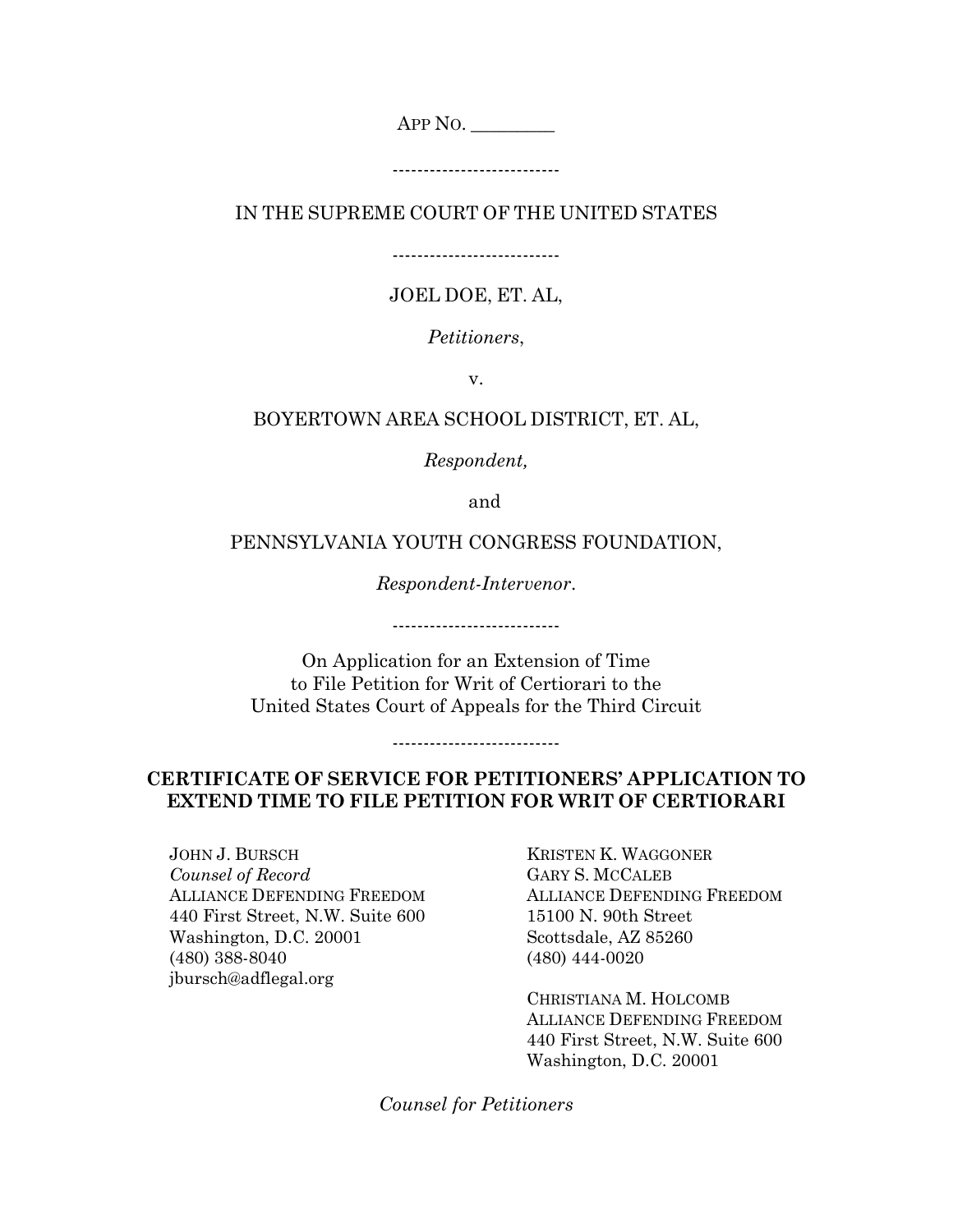APP NO. \_\_\_\_\_\_\_\_\_

---------------------------

IN THE SUPREME COURT OF THE UNITED STATES

---------------------------

## JOEL DOE, ET. AL,

*Petitioners*,

v.

## BOYERTOWN AREA SCHOOL DISTRICT, ET. AL,

*Respondent,*

and

## PENNSYLVANIA YOUTH CONGRESS FOUNDATION,

*Respondent-Intervenor*.

---------------------------

On Application for an Extension of Time to File Petition for Writ of Certiorari to the United States Court of Appeals for the Third Circuit

## **CERTIFICATE OF SERVICE FOR PETITIONERS' APPLICATION TO EXTEND TIME TO FILE PETITION FOR WRIT OF CERTIORARI**

---------------------------

JOHN J. BURSCH *Counsel of Record* ALLIANCE DEFENDING FREEDOM 440 First Street, N.W. Suite 600 Washington, D.C. 20001 (480) 388-8040 jbursch@adflegal.org

KRISTEN K. WAGGONER GARY S. MCCALEB ALLIANCE DEFENDING FREEDOM 15100 N. 90th Street Scottsdale, AZ 85260 (480) 444-0020

CHRISTIANA M. HOLCOMB ALLIANCE DEFENDING FREEDOM 440 First Street, N.W. Suite 600 Washington, D.C. 20001

*Counsel for Petitioners*